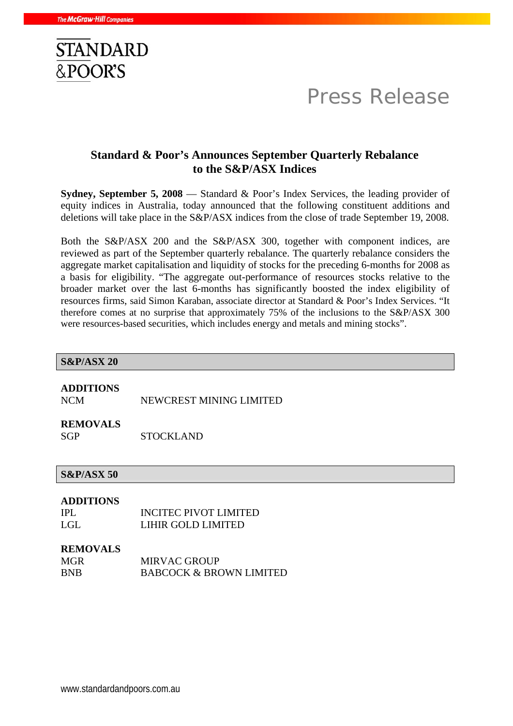

# Press Release

## **Standard & Poor's Announces September Quarterly Rebalance to the S&P/ASX Indices**

**Sydney, September 5, 2008** — Standard & Poor's Index Services, the leading provider of equity indices in Australia, today announced that the following constituent additions and deletions will take place in the S&P/ASX indices from the close of trade September 19, 2008.

Both the S&P/ASX 200 and the S&P/ASX 300, together with component indices, are reviewed as part of the September quarterly rebalance. The quarterly rebalance considers the aggregate market capitalisation and liquidity of stocks for the preceding 6-months for 2008 as a basis for eligibility. "The aggregate out-performance of resources stocks relative to the broader market over the last 6-months has significantly boosted the index eligibility of resources firms, said Simon Karaban, associate director at Standard & Poor's Index Services. "It therefore comes at no surprise that approximately 75% of the inclusions to the S&P/ASX 300 were resources-based securities, which includes energy and metals and mining stocks".

## **S&P/ASX 20 ADDITIONS**  NCM NEWCREST MINING LIMITED **REMOVALS**  SGP STOCKLAND **S&P/ASX 50 ADDITIONS**  IPL INCITEC PIVOT LIMITED LGL LIHIR GOLD LIMITED **REMOVALS**  MGR
MIRVAC GROUP BNB BABCOCK & BROWN LIMITED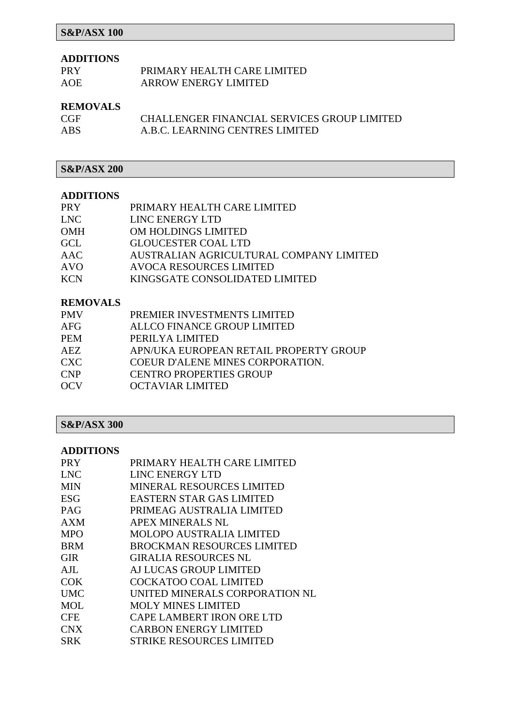## **S&P/ASX 100**

#### **ADDITIONS**

| PRY        | PRIMARY HEALTH CARE LIMITED |
|------------|-----------------------------|
| <b>AOE</b> | <b>ARROW ENERGY LIMITED</b> |

#### **REMOVALS**

| <b>CGF</b> | CHALLENGER FINANCIAL SERVICES GROUP LIMITED |
|------------|---------------------------------------------|
| <b>ABS</b> | A.B.C. LEARNING CENTRES LIMITED             |

## **S&P/ASX 200**

### **ADDITIONS**

| <b>PRY</b> | PRIMARY HEALTH CARE LIMITED             |
|------------|-----------------------------------------|
| <b>LNC</b> | LINC ENERGY LTD                         |
| <b>OMH</b> | OM HOLDINGS LIMITED                     |
| GCL        | <b>GLOUCESTER COAL LTD</b>              |
| AAC        | AUSTRALIAN AGRICULTURAL COMPANY LIMITED |
| <b>AVO</b> | <b>AVOCA RESOURCES LIMITED</b>          |
| <b>KCN</b> | KINGSGATE CONSOLIDATED LIMITED          |

#### **REMOVALS**

| <b>PMV</b> | PREMIER INVESTMENTS LIMITED             |
|------------|-----------------------------------------|
| <b>AFG</b> | ALLCO FINANCE GROUP LIMITED             |
| <b>PEM</b> | PERILYA LIMITED                         |
| AEZ.       | APN/UKA EUROPEAN RETAIL PROPERTY GROUP  |
| <b>CXC</b> | <b>COEUR D'ALENE MINES CORPORATION.</b> |
| <b>CNP</b> | <b>CENTRO PROPERTIES GROUP</b>          |
| <b>OCV</b> | OCTAVIAR LIMITED                        |

## **S&P/ASX 300**

#### **ADDITIONS**

| <b>PRY</b> | PRIMARY HEALTH CARE LIMITED       |
|------------|-----------------------------------|
| <b>LNC</b> | LINC ENERGY LTD                   |
| <b>MIN</b> | <b>MINERAL RESOURCES LIMITED</b>  |
| <b>ESG</b> | <b>EASTERN STAR GAS LIMITED</b>   |
| <b>PAG</b> | PRIMEAG AUSTRALIA LIMITED         |
| <b>AXM</b> | APEX MINERALS NL                  |
| <b>MPO</b> | <b>MOLOPO AUSTRALIA LIMITED</b>   |
| <b>BRM</b> | <b>BROCKMAN RESOURCES LIMITED</b> |
| GIR.       | GIRALIA RESOURCES NL              |
| AJL        | AJ LUCAS GROUP LIMITED            |
| COK        | <b>COCKATOO COAL LIMITED</b>      |
| <b>UMC</b> | UNITED MINERALS CORPORATION NL    |
| MOL        | <b>MOLY MINES LIMITED</b>         |
| <b>CFE</b> | <b>CAPE LAMBERT IRON ORE LTD</b>  |
| <b>CNX</b> | <b>CARBON ENERGY LIMITED</b>      |
| <b>SRK</b> | <b>STRIKE RESOURCES LIMITED</b>   |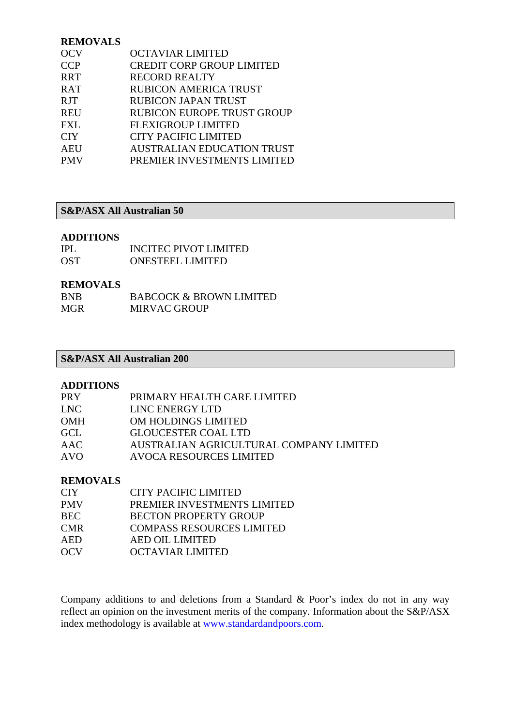#### **REMOVALS**

| <b>OCTAVIAR LIMITED</b>           |
|-----------------------------------|
| <b>CREDIT CORP GROUP LIMITED</b>  |
| <b>RECORD REALTY</b>              |
| <b>RUBICON AMERICA TRUST</b>      |
| <b>RUBICON JAPAN TRUST</b>        |
| <b>RUBICON EUROPE TRUST GROUP</b> |
| <b>FLEXIGROUP LIMITED</b>         |
| <b>CITY PACIFIC LIMITED</b>       |
| <b>AUSTRALIAN EDUCATION TRUST</b> |
| PREMIER INVESTMENTS LIMITED       |
|                                   |

#### **S&P/ASX All Australian 50**

#### **ADDITIONS**

| IPL.       | <b>INCITEC PIVOT LIMITED</b> |
|------------|------------------------------|
| <b>OST</b> | <b>ONESTEEL LIMITED</b>      |

#### **REMOVALS**

| <b>BNB</b> | <b>BABCOCK &amp; BROWN LIMITED</b> |
|------------|------------------------------------|
| <b>MGR</b> | <b>MIRVAC GROUP</b>                |

#### **S&P/ASX All Australian 200**

#### **ADDITIONS**

| <b>PRY</b> | PRIMARY HEALTH CARE LIMITED             |
|------------|-----------------------------------------|
| LNC        | LINC ENERGY LTD                         |
| <b>OMH</b> | OM HOLDINGS LIMITED                     |
| GCL        | <b>GLOUCESTER COAL LTD</b>              |
| <b>AAC</b> | AUSTRALIAN AGRICULTURAL COMPANY LIMITED |
| <b>AVO</b> | AVOCA RESOURCES LIMITED                 |
|            |                                         |

#### **REMOVALS**

| CIY        | CITY PACIFIC LIMITED             |
|------------|----------------------------------|
| PMV        | PREMIER INVESTMENTS LIMITED      |
| BEC.       | <b>BECTON PROPERTY GROUP</b>     |
| CMR        | <b>COMPASS RESOURCES LIMITED</b> |
| <b>AED</b> | AED OIL LIMITED                  |
| OCV        | OCTAVIAR LIMITED                 |

Company additions to and deletions from a Standard & Poor's index do not in any way reflect an opinion on the investment merits of the company. Information about the S&P/ASX index methodology is available at www.standardandpoors.com.